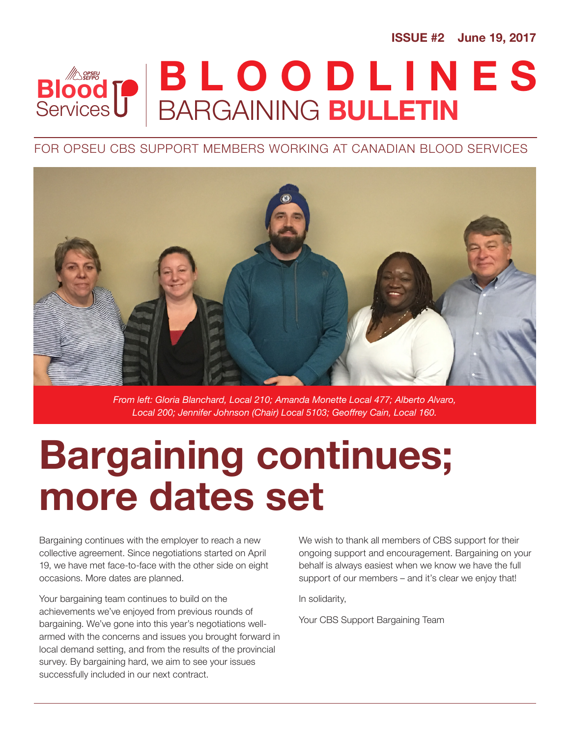ISSUE #2 June 19, 2017

#### BARGAINING BULLETIN **Blood** Services BLOODLINES

#### FOR OPSEU CBS SUPPORT MEMBERS WORKING AT CANADIAN BLOOD SERVICES



*From left: Gloria Blanchard, Local 210; Amanda Monette Local 477; Alberto Alvaro, Local 200; Jennifer Johnson (Chair) Local 5103; Geoffrey Cain, Local 160.*

# **Bargaining continues; more dates set**

Bargaining continues with the employer to reach a new collective agreement. Since negotiations started on April 19, we have met face-to-face with the other side on eight occasions. More dates are planned.

Your bargaining team continues to build on the achievements we've enjoyed from previous rounds of bargaining. We've gone into this year's negotiations wellarmed with the concerns and issues you brought forward in local demand setting, and from the results of the provincial survey. By bargaining hard, we aim to see your issues successfully included in our next contract.

We wish to thank all members of CBS support for their ongoing support and encouragement. Bargaining on your behalf is always easiest when we know we have the full support of our members – and it's clear we enjoy that!

In solidarity,

Your CBS Support Bargaining Team